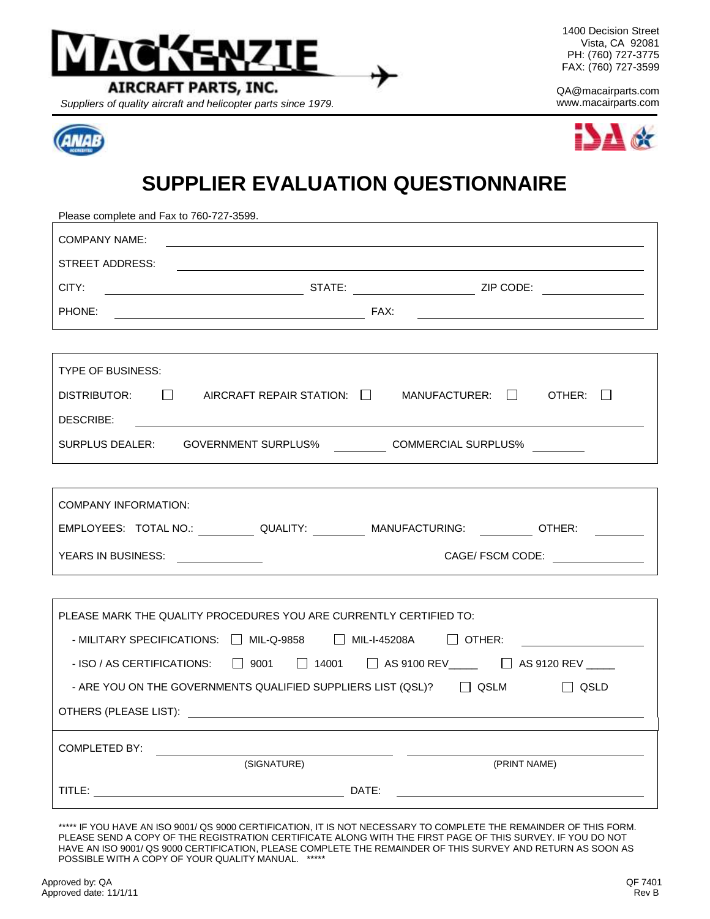

*Suppliers of quality aircraft and helicopter parts since 1979.* www.macairparts.com



1400 Decision Street Vista, CA 92081 PH: (760) 727-3775 FAX: (760) 727-3599

QA@macairparts.com



## **SUPPLIER EVALUATION QUESTIONNAIRE**

| Please complete and Fax to 760-727-3599.                                                                                               |  |  |  |  |  |
|----------------------------------------------------------------------------------------------------------------------------------------|--|--|--|--|--|
| COMPANY NAME:                                                                                                                          |  |  |  |  |  |
| STREET ADDRESS:                                                                                                                        |  |  |  |  |  |
| CITY:                                                                                                                                  |  |  |  |  |  |
| PHONE:                                                                                                                                 |  |  |  |  |  |
|                                                                                                                                        |  |  |  |  |  |
| <b>TYPE OF BUSINESS:</b>                                                                                                               |  |  |  |  |  |
| DISTRIBUTOR: $\Box$ AIRCRAFT REPAIR STATION: $\Box$ MANUFACTURER: $\Box$ OTHER: $\Box$                                                 |  |  |  |  |  |
| DESCRIBE:                                                                                                                              |  |  |  |  |  |
| SURPLUS DEALER: GOVERNMENT SURPLUS% __________ COMMERCIAL SURPLUS% ________                                                            |  |  |  |  |  |
|                                                                                                                                        |  |  |  |  |  |
|                                                                                                                                        |  |  |  |  |  |
| COMPANY INFORMATION:                                                                                                                   |  |  |  |  |  |
| EMPLOYEES: TOTAL NO.: QUALITY: ________ MANUFACTURING: ________ OTHER: ________                                                        |  |  |  |  |  |
| YEARS IN BUSINESS:                                                                                                                     |  |  |  |  |  |
|                                                                                                                                        |  |  |  |  |  |
| PLEASE MARK THE QUALITY PROCEDURES YOU ARE CURRENTLY CERTIFIED TO:                                                                     |  |  |  |  |  |
| - MILITARY SPECIFICATIONS: NIL-Q-9858 NIL-I-45208A DOTHER:                                                                             |  |  |  |  |  |
| - ISO / AS CERTIFICATIONS: □ 9001 □ 14001 □ AS 9100 REV____ □ AS 9120 REV ____                                                         |  |  |  |  |  |
| - ARE YOU ON THE GOVERNMENTS QUALIFIED SUPPLIERS LIST (QSL)? $\qquad \Box$ QSLM<br>$\Box$ QSLD                                         |  |  |  |  |  |
|                                                                                                                                        |  |  |  |  |  |
| COMPLETED BY:<br><u> 1989 - Andrea Maria III, populație de la provincia de la provincia de la provincia de la provincia de la pro</u>  |  |  |  |  |  |
| (SIGNATURE)<br>(PRINT NAME)                                                                                                            |  |  |  |  |  |
| DATE:<br>TITLE:<br><u> 1989 - Johann Barn, mars ann an t-Amhair an t-Amhair an t-Amhair an t-Amhair an t-Amhair an t-Amhair an t-A</u> |  |  |  |  |  |

\*\*\*\*\* IF YOU HAVE AN ISO 9001/ QS 9000 CERTIFICATION, IT IS NOT NECESSARY TO COMPLETE THE REMAINDER OF THIS FORM. PLEASE SEND A COPY OF THE REGISTRATION CERTIFICATE ALONG WITH THE FIRST PAGE OF THIS SURVEY. IF YOU DO NOT HAVE AN ISO 9001/ QS 9000 CERTIFICATION, PLEASE COMPLETE THE REMAINDER OF THIS SURVEY AND RETURN AS SOON AS POSSIBLE WITH A COPY OF YOUR QUALITY MANUAL. \*\*\*\*\*